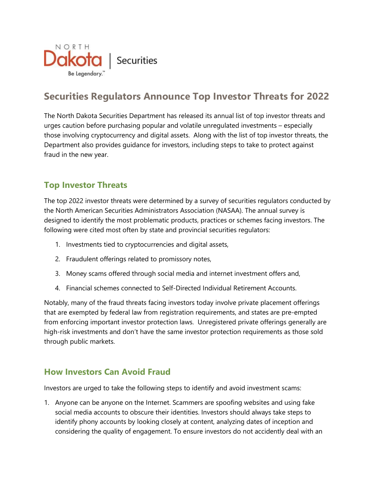

## **Securities Regulators Announce Top Investor Threats for 2022**

The North Dakota Securities Department has released its annual list of top investor threats and urges caution before purchasing popular and volatile unregulated investments – especially those involving cryptocurrency and digital assets. Along with the list of top investor threats, the Department also provides guidance for investors, including steps to take to protect against fraud in the new year.

## **Top Investor Threats**

The top 2022 investor threats were determined by a survey of securities regulators conducted by the North American Securities Administrators Association (NASAA). The annual survey is designed to identify the most problematic products, practices or schemes facing investors. The following were cited most often by state and provincial securities regulators:

- 1. Investments tied to cryptocurrencies and digital assets,
- 2. Fraudulent offerings related to promissory notes,
- 3. Money scams offered through social media and internet investment offers and,
- 4. Financial schemes connected to Self-Directed Individual Retirement Accounts.

Notably, many of the fraud threats facing investors today involve private placement offerings that are exempted by federal law from registration requirements, and states are pre-empted from enforcing important investor protection laws. Unregistered private offerings generally are high-risk investments and don't have the same investor protection requirements as those sold through public markets.

## **How Investors Can Avoid Fraud**

Investors are urged to take the following steps to identify and avoid investment scams:

1. Anyone can be anyone on the Internet. Scammers are spoofing websites and using fake social media accounts to obscure their identities. Investors should always take steps to identify phony accounts by looking closely at content, analyzing dates of inception and considering the quality of engagement. To ensure investors do not accidently deal with an